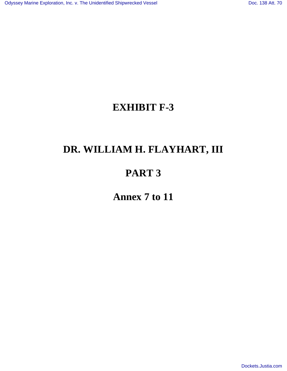### **EXHIBIT F-3**

# **DR. WILLIAM H. FLAYHART, III**

# **PART 3**

**Annex 7 to 11**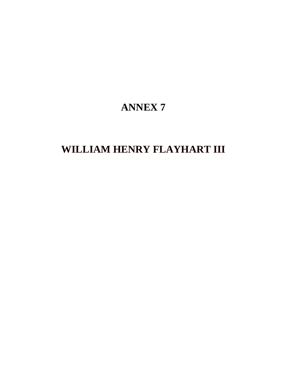# **ANNEX 7**

# **WILLIAM HENRY FLAYHART III**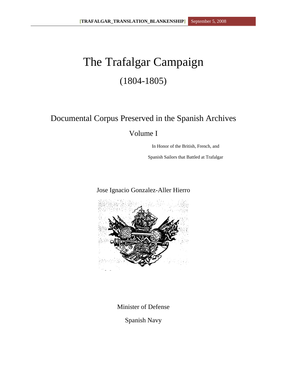# The Trafalgar Campaign (1804-1805)

### Documental Corpus Preserved in the Spanish Archives

Volume I

In Honor of the British, French, and

Spanish Sailors that Battled at Trafalgar

### Jose Ignacio Gonzalez-Aller Hierro



Minister of Defense

Spanish Navy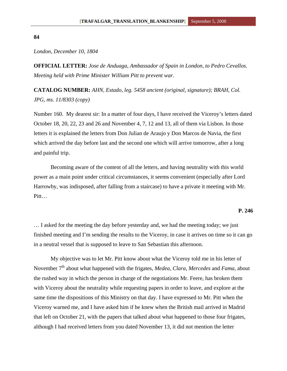#### **84**

### *London, December 10, 1804*

**OFFICIAL LETTER:** *Jose de Anduaga, Ambassador of Spain in London, to Pedro Cevallos. Meeting held with Prime Minister William Pitt to prevent war.* 

**CATALOG NUMBER:** *AHN, Estado, leg. 5458 ancient (original, signature); BRAH, Col. JPG, ms. 11/8303 (copy)* 

Number 160. My dearest sir: In a matter of four days, I have received the Viceroy's letters dated October 18, 20, 22, 23 and 26 and November 4, 7, 12 and 13, all of them via Lisbon. In those letters it is explained the letters from Don Julian de Araujo y Don Marcos de Navia, the first which arrived the day before last and the second one which will arrive tomorrow, after a long and painful trip.

Becoming aware of the content of all the letters, and having neutrality with this world power as a main point under critical circumstances, it seems convenient (especially after Lord Harrowby, was indisposed, after falling from a staircase) to have a private it meeting with Mr. Pitt…

#### **P. 246**

… I asked for the meeting the day before yesterday and, we had the meeting today; we just finished meeting and I'm sending the results to the Viceroy, in case it arrives on time so it can go in a neutral vessel that is supposed to leave to San Sebastian this afternoon.

My objective was to let Mr. Pitt know about what the Viceroy told me in his letter of November 7<sup>th</sup> about what happened with the frigates, *Medea, Clara, Mercedes* and *Fama*, about the rushed way in which the person in charge of the negotiations Mr. Feere, has broken them with Viceroy about the neutrality while requesting papers in order to leave, and explore at the same time the dispositions of this Ministry on that day. I have expressed to Mr. Pitt when the Viceroy warned me, and I have asked him if he knew when the British mail arrived in Madrid that left on October 21, with the papers that talked about what happened to those four frigates, although I had received letters from you dated November 13, it did not mention the letter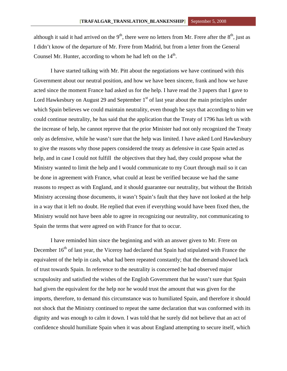although it said it had arrived on the  $9<sup>th</sup>$ , there were no letters from Mr. Frere after the  $8<sup>th</sup>$ , just as I didn't know of the departure of Mr. Frere from Madrid, but from a letter from the General Counsel Mr. Hunter, according to whom he had left on the  $14<sup>th</sup>$ .

I have started talking with Mr. Pitt about the negotiations we have continued with this Government about our neutral position, and how we have been sincere, frank and how we have acted since the moment France had asked us for the help. I have read the 3 papers that I gave to Lord Hawkesbury on August 29 and September  $1<sup>st</sup>$  of last year about the main principles under which Spain believes we could maintain neutrality, even though he says that according to him we could continue neutrality, he has said that the application that the Treaty of 1796 has left us with the increase of help, he cannot reprove that the prior Minister had not only recognized the Treaty only as defensive, while he wasn't sure that the help was limited. I have asked Lord Hawkesbury to give the reasons why those papers considered the treaty as defensive in case Spain acted as help, and in case I could not fulfill the objectives that they had, they could propose what the Ministry wanted to limit the help and I would communicate to my Court through mail so it can be done in agreement with France, what could at least be verified because we had the same reasons to respect as with England, and it should guarantee our neutrality, but without the British Ministry accessing those documents, it wasn't Spain's fault that they have not looked at the help in a way that it left no doubt. He replied that even if everything would have been fixed then, the Ministry would not have been able to agree in recognizing our neutrality, not communicating to Spain the terms that were agreed on with France for that to occur.

I have reminded him since the beginning and with an answer given to Mr. Frere on December 16<sup>th</sup> of last year, the Viceroy had declared that Spain had stipulated with France the equivalent of the help in cash, what had been repeated constantly; that the demand showed lack of trust towards Spain. In reference to the neutrality is concerned he had observed major scrupulosity and satisfied the wishes of the English Government that he wasn't sure that Spain had given the equivalent for the help nor he would trust the amount that was given for the imports, therefore, to demand this circumstance was to humiliated Spain, and therefore it should not shock that the Ministry continued to repeat the same declaration that was conformed with its dignity and was enough to calm it down. I was told that he surely did not believe that an act of confidence should humiliate Spain when it was about England attempting to secure itself, which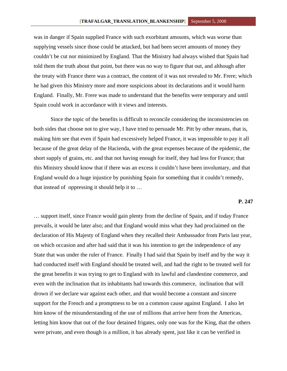was in danger if Spain supplied France with such exorbitant amounts, which was worse than supplying vessels since those could be attacked, but had been secret amounts of money they couldn't be cut nor minimized by England. That the Ministry had always wished that Spain had told them the truth about that point, but there was no way to figure that out, and although after the treaty with France there was a contract, the content of it was not revealed to Mr. Frere; which he had given this Ministry more and more suspicions about its declarations and it would harm England. Finally, Mr. Frere was made to understand that the benefits were temporary and until Spain could work in accordance with it views and interests.

Since the topic of the benefits is difficult to reconcile considering the inconsistencies on both sides that choose not to give way, I have tried to persuade Mr. Pitt by other means, that is, making him see that even if Spain had excessively helped France, it was impossible to pay it all because of the great delay of the Hacienda, with the great expenses because of the epidemic, the short supply of grains, etc. and that not having enough for itself, they had less for France; that this Ministry should know that if there was an excess it couldn't have been involuntary, and that England would do a huge injustice by punishing Spain for something that it couldn't remedy, that instead of oppressing it should help it to …

### **P. 247**

… support itself, since France would gain plenty from the decline of Spain, and if today France prevails, it would be later also; and that England would miss what they had proclaimed on the declaration of His Majesty of England when they recalled their Ambassador from Paris last year, on which occasion and after had said that it was his intention to get the independence of any State that was under the ruler of France. Finally I had said that Spain by itself and by the way it had conducted itself with England should be treated well, and had the right to be treated well for the great benefits it was trying to get to England with its lawful and clandestine commerce, and even with the inclination that its inhabitants had towards this commerce, inclination that will drown if we declare war against each other, and that would become a constant and sincere support for the French and a promptness to be on a common cause against England. I also let him know of the misunderstanding of the use of millions that arrive here from the Americas, letting him know that out of the four detained frigates, only one was for the King, that the others were private, and even though is a million, it has already spent, just like it can be verified in